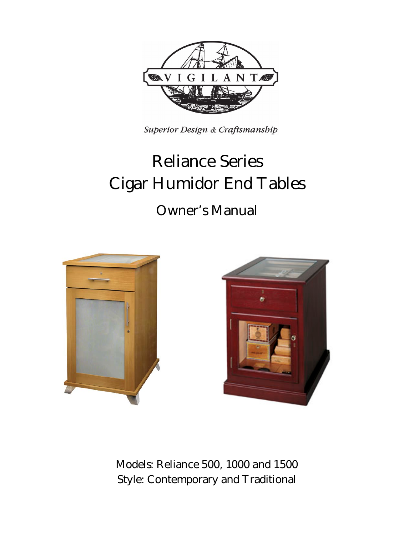

Superior Design & Craftsmanship

# **Reliance Series Cigar Humidor End Tables**

## **Owner's Manual**





**Models: Reliance 500, 1000 and 1500 Style: Contemporary and Traditional**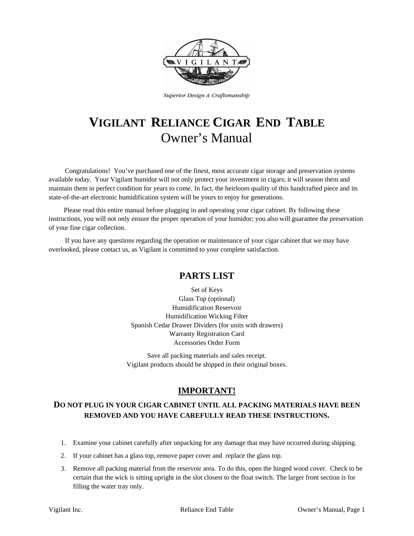

Superior Design & Craftsmanship

## **VIGILANT RELIANCE CIGAR END TABLE** Owner's Manual

Congratulations! You've purchased one of the finest, most accurate cigar storage and preservation systems available today. Your Vigilant humidor will not only protect your investment in cigars; it will season them and maintain them in perfect condition for years to come. In fact, the heirloom quality of this handcrafted piece and its state-of-the-art electronic humidification system will be yours to enjoy for generations.

Please read this entire manual before plugging in and operating your cigar cabinet. By following these instructions, you will not only ensure the proper operation of your humidor; you also will guarantee the preservation of your fine cigar collection.

If you have any questions regarding the operation or maintenance of your cigar cabinet that we may have overlooked, please contact us, as Vigilant is committed to your complete satisfaction.

### **PARTS LIST**

Set of Keys Glass Top (optional) Humidification Reservoir Humidification Wicking Filter Spanish Cedar Drawer Dividers (for units with drawers) Warranty Registration Card Accessories Order Form

Save all packing materials and sales receipt. Vigilant products should be shipped in their original boxes.

### **IMPORTANT!**

#### **DO NOT PLUG IN YOUR CIGAR CABINET UNTIL ALL PACKING MATERIALS HAVE BEEN REMOVED AND YOU HAVE CAREFULLY READ THESE INSTRUCTIONS.**

- 1. Examine your cabinet carefully after unpacking for any damage that may have occurred during shipping.
- 2. If your cabinet has a glass top, remove paper cover and replace the glass top.
- 3. Remove all packing material from the reservoir area. To do this, open the hinged wood cover. Check to be certain that the wick is sitting upright in the slot closest to the float switch. The larger front section is for filling the water tray only.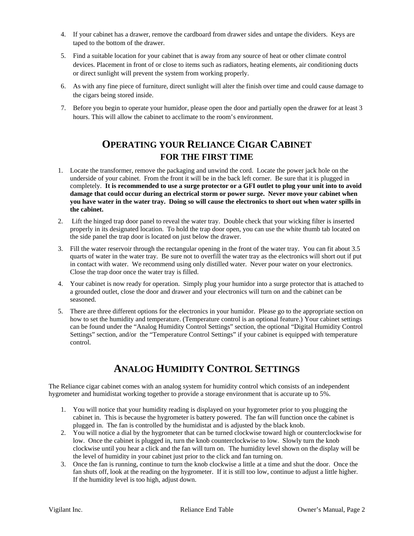- 4. If your cabinet has a drawer, remove the cardboard from drawer sides and untape the dividers. Keys are taped to the bottom of the drawer.
- 5. Find a suitable location for your cabinet that is away from any source of heat or other climate control devices. Placement in front of or close to items such as radiators, heating elements, air conditioning ducts or direct sunlight will prevent the system from working properly.
- 6. As with any fine piece of furniture, direct sunlight will alter the finish over time and could cause damage to the cigars being stored inside.
- 7. Before you begin to operate your humidor, please open the door and partially open the drawer for at least 3 hours. This will allow the cabinet to acclimate to the room's environment.

## **OPERATING YOUR RELIANCE CIGAR CABINET FOR THE FIRST TIME**

- 1. Locate the transformer, remove the packaging and unwind the cord. Locate the power jack hole on the underside of your cabinet. From the front it will be in the back left corner. Be sure that it is plugged in completely. **It is recommended to use a surge protector or a GFI outlet to plug your unit into to avoid damage that could occur during an electrical storm or power surge. Never move your cabinet when you have water in the water tray. Doing so will cause the electronics to short out when water spills in the cabinet.**
- 2. Lift the hinged trap door panel to reveal the water tray. Double check that your wicking filter is inserted properly in its designated location. To hold the trap door open, you can use the white thumb tab located on the side panel the trap door is located on just below the drawer.
- 3. Fill the water reservoir through the rectangular opening in the front of the water tray. You can fit about 3.5 quarts of water in the water tray. Be sure not to overfill the water tray as the electronics will short out if put in contact with water. We recommend using only distilled water. Never pour water on your electronics. Close the trap door once the water tray is filled.
- 4. Your cabinet is now ready for operation. Simply plug your humidor into a surge protector that is attached to a grounded outlet, close the door and drawer and your electronics will turn on and the cabinet can be seasoned.
- 5. There are three different options for the electronics in your humidor. Please go to the appropriate section on how to set the humidity and temperature. (Temperature control is an optional feature.) Your cabinet settings can be found under the "Analog Humidity Control Settings" section, the optional "Digital Humidity Control Settings" section, and/or the "Temperature Control Settings" if your cabinet is equipped with temperature control.

## **ANALOG HUMIDITY CONTROL SETTINGS**

The Reliance cigar cabinet comes with an analog system for humidity control which consists of an independent hygrometer and humidistat working together to provide a storage environment that is accurate up to 5%.

- 1. You will notice that your humidity reading is displayed on your hygrometer prior to you plugging the cabinet in. This is because the hygrometer is battery powered. The fan will function once the cabinet is plugged in. The fan is controlled by the humidistat and is adjusted by the black knob.
- 2. You will notice a dial by the hygrometer that can be turned clockwise toward high or counterclockwise for low. Once the cabinet is plugged in, turn the knob counterclockwise to low. Slowly turn the knob clockwise until you hear a click and the fan will turn on. The humidity level shown on the display will be the level of humidity in your cabinet just prior to the click and fan turning on.
- 3. Once the fan is running, continue to turn the knob clockwise a little at a time and shut the door. Once the fan shuts off, look at the reading on the hygrometer. If it is still too low, continue to adjust a little higher. If the humidity level is too high, adjust down.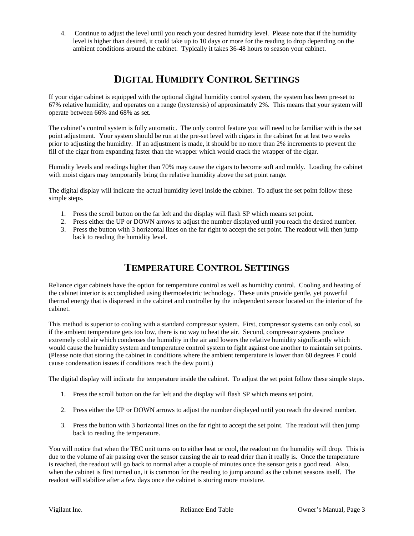4. Continue to adjust the level until you reach your desired humidity level. Please note that if the humidity level is higher than desired, it could take up to 10 days or more for the reading to drop depending on the ambient conditions around the cabinet. Typically it takes 36-48 hours to season your cabinet.

## **DIGITAL HUMIDITY CONTROL SETTINGS**

If your cigar cabinet is equipped with the optional digital humidity control system, the system has been pre-set to 67% relative humidity, and operates on a range (hysteresis) of approximately 2%. This means that your system will operate between 66% and 68% as set.

The cabinet's control system is fully automatic. The only control feature you will need to be familiar with is the set point adjustment. Your system should be run at the pre-set level with cigars in the cabinet for at lest two weeks prior to adjusting the humidity. If an adjustment is made, it should be no more than 2% increments to prevent the fill of the cigar from expanding faster than the wrapper which would crack the wrapper of the cigar.

Humidity levels and readings higher than 70% may cause the cigars to become soft and moldy. Loading the cabinet with moist cigars may temporarily bring the relative humidity above the set point range.

The digital display will indicate the actual humidity level inside the cabinet. To adjust the set point follow these simple steps.

- 1. Press the scroll button on the far left and the display will flash SP which means set point.
- 2. Press either the UP or DOWN arrows to adjust the number displayed until you reach the desired number.
- 3. Press the button with 3 horizontal lines on the far right to accept the set point. The readout will then jump back to reading the humidity level.

## **TEMPERATURE CONTROL SETTINGS**

Reliance cigar cabinets have the option for temperature control as well as humidity control. Cooling and heating of the cabinet interior is accomplished using thermoelectric technology. These units provide gentle, yet powerful thermal energy that is dispersed in the cabinet and controller by the independent sensor located on the interior of the cabinet.

This method is superior to cooling with a standard compressor system. First, compressor systems can only cool, so if the ambient temperature gets too low, there is no way to heat the air. Second, compressor systems produce extremely cold air which condenses the humidity in the air and lowers the relative humidity significantly which would cause the humidity system and temperature control system to fight against one another to maintain set points. (Please note that storing the cabinet in conditions where the ambient temperature is lower than 60 degrees F could cause condensation issues if conditions reach the dew point.)

The digital display will indicate the temperature inside the cabinet. To adjust the set point follow these simple steps.

- 1. Press the scroll button on the far left and the display will flash SP which means set point.
- 2. Press either the UP or DOWN arrows to adjust the number displayed until you reach the desired number.
- 3. Press the button with 3 horizontal lines on the far right to accept the set point. The readout will then jump back to reading the temperature.

You will notice that when the TEC unit turns on to either heat or cool, the readout on the humidity will drop. This is due to the volume of air passing over the sensor causing the air to read drier than it really is. Once the temperature is reached, the readout will go back to normal after a couple of minutes once the sensor gets a good read. Also, when the cabinet is first turned on, it is common for the reading to jump around as the cabinet seasons itself. The readout will stabilize after a few days once the cabinet is storing more moisture.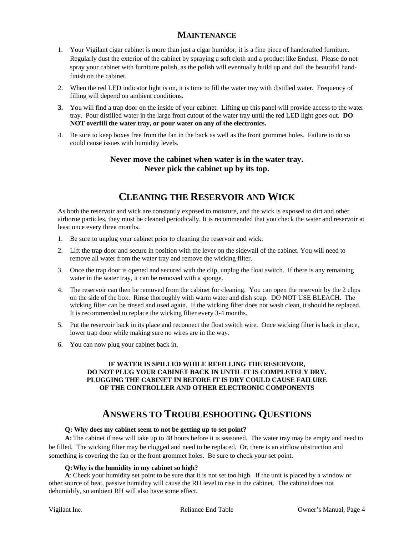#### **MAINTENANCE**

- 1. Your Vigilant cigar cabinet is more than just a cigar humidor; it is a fine piece of handcrafted furniture. Regularly dust the exterior of the cabinet by spraying a soft cloth and a product like Endust. Please do not spray your cabinet with furniture polish, as the polish will eventually build up and dull the beautiful handfinish on the cabinet.
- 2. When the red LED indicator light is on, it is time to fill the water tray with distilled water. Frequency of filling will depend on ambient conditions.
- **3.** You will find a trap door on the inside of your cabinet. Lifting up this panel will provide access to the water tray. Pour distilled water in the large front cutout of the water tray until the red LED light goes out. **DO NOT overfill the water tray, or pour water on any of the electronics.**
- 4. Be sure to keep boxes free from the fan in the back as well as the front grommet holes. Failure to do so could cause issues with humidity levels.

#### **Never move the cabinet when water is in the water tray. Never pick the cabinet up by its top.**

## **CLEANING THE RESERVOIR AND WICK**

As both the reservoir and wick are constantly exposed to moisture, and the wick is exposed to dirt and other airborne particles, they must be cleaned periodically. It is recommended that you check the water and reservoir at least once every three months.

- 1. Be sure to unplug your cabinet prior to cleaning the reservoir and wick.
- 2. Lift the trap door and secure in position with the lever on the sidewall of the cabinet. You will need to remove all water from the water tray and remove the wicking filter.
- 3. Once the trap door is opened and secured with the clip, unplug the float switch. If there is any remaining water in the water tray, it can be removed with a sponge.
- 4. The reservoir can then be removed from the cabinet for cleaning. You can open the reservoir by the 2 clips on the side of the box. Rinse thoroughly with warm water and dish soap. DO NOT USE BLEACH. The wicking filter can be rinsed and used again. If the wicking filter does not wash clean, it should be replaced. It is recommended to replace the wicking filter every 3-4 months.
- 5. Put the reservoir back in its place and reconnect the float switch wire. Once wicking filter is back in place, lower trap door while making sure no wires are in the way.
- 6. You can now plug your cabinet back in.

#### **IF WATER IS SPILLED WHILE REFILLING THE RESERVOIR, DO NOT PLUG YOUR CABINET BACK IN UNTIL IT IS COMPLETELY DRY. PLUGGING THE CABINET IN BEFORE IT IS DRY COULD CAUSE FAILURE OF THE CONTROLLER AND OTHER ELECTRONIC COMPONENTS**

## **ANSWERS TO TROUBLESHOOTING QUESTIONS**

#### **Q: Why does my cabinet seem to not be getting up to set point?**

**A:**The cabinet if new will take up to 48 hours before it is seasoned. The water tray may be empty and need to be filled. The wicking filter may be clogged and need to be replaced. Or, there is an airflow obstruction and something is covering the fan or the front grommet holes. Be sure to check your set point.

#### **Q: Why is the humidity in my cabinet so high?**

**A**: Check your humidity set point to be sure that it is not set too high. If the unit is placed by a window or other source of heat, passive humidity will cause the RH level to rise in the cabinet. The cabinet does not dehumidify, so ambient RH will also have some effect.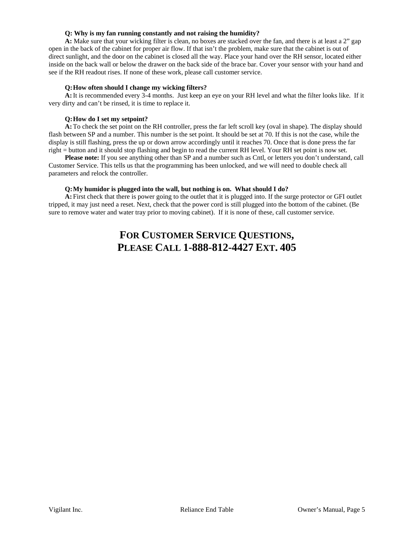#### **Q: Why is my fan running constantly and not raising the humidity?**

**A:** Make sure that your wicking filter is clean, no boxes are stacked over the fan, and there is at least a 2" gap open in the back of the cabinet for proper air flow. If that isn't the problem, make sure that the cabinet is out of direct sunlight, and the door on the cabinet is closed all the way. Place your hand over the RH sensor, located either inside on the back wall or below the drawer on the back side of the brace bar. Cover your sensor with your hand and see if the RH readout rises. If none of these work, please call customer service.

#### **Q:How often should I change my wicking filters?**

**A:**It is recommended every 3-4 months. Just keep an eye on your RH level and what the filter looks like. If it very dirty and can't be rinsed, it is time to replace it.

#### **Q:How do I set my setpoint?**

**A:**To check the set point on the RH controller, press the far left scroll key (oval in shape). The display should flash between SP and a number. This number is the set point. It should be set at 70. If this is not the case, while the display is still flashing, press the up or down arrow accordingly until it reaches 70. Once that is done press the far right = button and it should stop flashing and begin to read the current RH level. Your RH set point is now set.

**Please note:** If you see anything other than SP and a number such as Cntl, or letters you don't understand, call Customer Service. This tells us that the programming has been unlocked, and we will need to double check all parameters and relock the controller.

#### **Q:My humidor is plugged into the wall, but nothing is on. What should I do?**

**A:** First check that there is power going to the outlet that it is plugged into. If the surge protector or GFI outlet tripped, it may just need a reset. Next, check that the power cord is still plugged into the bottom of the cabinet. (Be sure to remove water and water tray prior to moving cabinet). If it is none of these, call customer service.

## **FOR CUSTOMER SERVICE QUESTIONS, PLEASE CALL 1-888-812-4427 EXT. 405**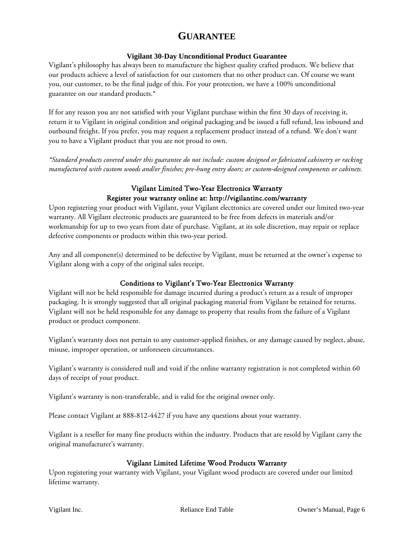## **GUARANTEE**

#### **Vigilant 30-Day Unconditional Product Guarantee**

Vigilant's philosophy has always been to manufacture the highest quality crafted products. We believe that our products achieve a level of satisfaction for our customers that no other product can. Of course we want you, our customer, to be the final judge of this. For your protection, we have a 100% unconditional guarantee on our standard products.\*

If for any reason you are not satisfied with your Vigilant purchase within the first 30 days of receiving it, return it to Vigilant in original condition and original packaging and be issued a full refund, less inbound and outbound freight. If you prefer, you may request a replacement product instead of a refund. We don't want you to have a Vigilant product that you are not proud to own.

*\*Standard products covered under this guarantee do not include: custom designed or fabricated cabinetry or racking manufactured with custom woods and/or finishes; pre-hung entry doors; or custom-designed components or cabinets.*

#### Vigilant Limited Two-Year Electronics Warranty Register your warranty online at: http://vigilantinc.com/warranty

Upon registering your product with Vigilant, your Vigilant electronics are covered under our limited two-year warranty. All Vigilant electronic products are guaranteed to be free from defects in materials and/or workmanship for up to two years from date of purchase. Vigilant, at its sole discretion, may repair or replace defective components or products within this two-year period.

Any and all component(s) determined to be defective by Vigilant, must be returned at the owner's expense to Vigilant along with a copy of the original sales receipt.

#### Conditions to Vigilant's Two-Year Electronics Warranty

Vigilant will not be held responsible for damage incurred during a product's return as a result of improper packaging. It is strongly suggested that all original packaging material from Vigilant be retained for returns. Vigilant will not be held responsible for any damage to property that results from the failure of a Vigilant product or product component.

Vigilant's warranty does not pertain to any customer-applied finishes, or any damage caused by neglect, abuse, misuse, improper operation, or unforeseen circumstances.

Vigilant's warranty is considered null and void if the online warranty registration is not completed within 60 days of receipt of your product.

Vigilant's warranty is non-transferable, and is valid for the original owner only.

Please contact Vigilant at 888-812-4427 if you have any questions about your warranty.

Vigilant is a reseller for many fine products within the industry. Products that are resold by Vigilant carry the original manufacturer's warranty.

#### Vigilant Limited Lifetime Wood Products Warranty

Upon registering your warranty with Vigilant, your Vigilant wood products are covered under our limited lifetime warranty.